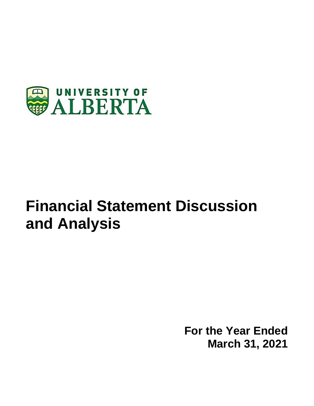

# **Financial Statement Discussion and Analysis**

**For the Year Ended March 31, 2021**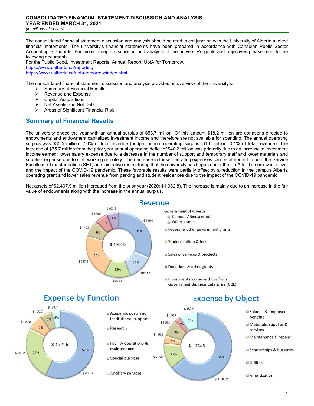*(in millions of dollars)* 

The consolidated financial statement discussion and analysis should be read in conjunction with the University of Alberta audited financial statements. The university's financial statements have been prepared in accordance with Canadian Public Sector Accounting Standards. For more in-depth discussion and analysis of the university's goals and objectives please refer to the following documents:

For the Public Good, Investment Reports, Annual Report, UofA for Tomorrow. https://www.ualberta.ca/reporting https://www.ualberta.ca/uofa-tomorrow/index.html

The consolidated financial statement discussion and analysis provides an overview of the university's:

- $\geq$  Summary of Financial Results<br>  $\geq$  Revenue and Expense
- Revenue and Expense
- Capital Acquisitions
- $\triangleright$  Net Assets and Net Debt
- $\triangleright$  Areas of Significant Financial Risk

# **Summary of Financial Results**

The university ended the year with an annual surplus of \$53.7 million. Of this amount \$18.2 million are donations directed to endowments and endowment capitalized investment income and therefore are not available for spending. The annual operating surplus was \$35.5 million; 2.0% of total revenue (budget annual operating surplus: \$1.0 million; 0.1% of total revenue). The increase of \$75.7 million from the prior year annual operating deficit of \$40.2 million was primarily due to an increase in investment income earned, lower salary expense due to a decrease in the number of support and temporary staff and lower materials and supplies expense due to staff working remotely. The decrease in these operating expenses can be attributed to both the Service Excellence Transformation (SET) administrative restructuring that the university has begun under the UofA for Tomorrow initiative, and the impact of the COVID-19 pandemic. These favorable results were partially offset by a reduction in the campus Alberta operating grant and lower sales revenue from parking and student residences due to the impact of the COVID-19 pandemic.

Net assets of \$2,407.9 million increased from the prior year (2020: \$1,982.8). The increase is mainly due to an increase in the fair value of endowments along with the increase in the annual surplus.



# Revenue

- **Government of Alberta Q** Campus Alberta grant  $\blacksquare$  Other grants Federal & other government grants Student tuition & fees Sales of services & products ■ Donations & other grants
- I Investment income and loss from **Government Business Enterprise (GBE)**

# **Expense by Function**



# Academic costs and institutional support Research

Facility operations & maintenance

Special purpose

Ancillary services



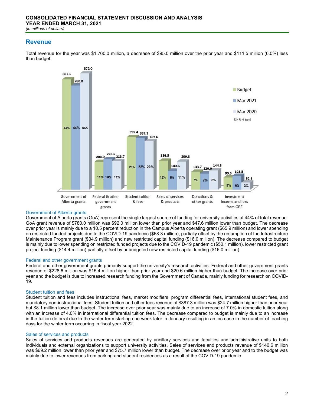# **Revenue**

Total revenue for the year was \$1,760.0 million, a decrease of \$95.0 million over the prior year and \$111.5 million (6.0%) less than budget.



#### Government of Alberta grants

Government of Alberta grants (GoA) represent the single largest source of funding for university activities at 44% of total revenue. GoA grant revenue of \$780.0 million was \$92.0 million lower than prior year and \$47.6 million lower than budget. The decrease over prior year is mainly due to a 10.5 percent reduction in the Campus Alberta operating grant (\$65.9 million) and lower spending on restricted funded projects due to the COVID-19 pandemic (\$68.3 million), partially offset by the resumption of the Infrastructure Maintenance Program grant (\$34.9 million) and new restricted capital funding (\$16.0 million). The decrease compared to budget is mainly due to lower spending on restricted funded projects due to the COVID-19 pandemic (\$50.1 million), lower restricted grant project funding (\$14.4 million) partially offset by unbudgeted new restricted capital funding (\$16.0 million).

#### Federal and other government grants

Federal and other government grants primarily support the university's research activities. Federal and other government grants revenue of \$228.6 million was \$15.4 million higher than prior year and \$20.6 million higher than budget. The increase over prior year and the budget is due to increased research funding from the Government of Canada, mainly funding for research on COVID-19.

## Student tuition and fees

Student tuition and fees includes instructional fees, market modifiers, program differential fees, international student fees, and mandatory non-instructional fees. Student tuition and other fees revenue of \$387.3 million was \$24.7 million higher than prior year but \$8.1 million lower than budget. The increase over prior year was mainly due to an increase of 7.0% in domestic tuition along with an increase of 4.0% in international differential tuition fees. The decrease compared to budget is mainly due to an increase in the tuition deferral due to the winter term starting one week later in January resulting in an increase in the number of teaching days for the winter term occurring in fiscal year 2022.

## Sales of services and products

Sales of services and products revenues are generated by ancillary services and faculties and administrative units to both individuals and external organizations to support university activities. Sales of services and products revenue of \$140.6 million was \$69.2 million lower than prior year and \$75.7 million lower than budget. The decrease over prior year and to the budget was mainly due to lower revenues from parking and student residences as a result of the COVID-19 pandemic.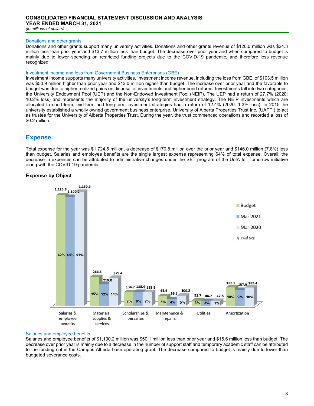## Donations and other grants

Donations and other grants support many university activities. Donations and other grants revenue of \$120.0 million was \$24.3 million less than prior year and \$13.7 million less than budget. The decrease over prior year and when compared to budget is mainly due to lower spending on restricted funding projects due to the COVID-19 pandemic, and therefore less revenue recognized.

### Investment income and loss from Government Business Enterprises (GBE)

Investment income supports many university activities. Investment income revenue, including the loss from GBE, of \$103.5 million was \$50.9 million higher than prior year and \$13.0 million higher than budget. The increase over prior year and the favorable to budget was due to higher realized gains on disposal of investments and higher bond returns. Investments fall into two categories, the University Endowment Pool (UEP) and the Non-Endowed Investment Pool (NEIP). The UEP had a return of 27.7% (2020: 10.2% loss) and represents the majority of the university's long-term investment strategy. The NEIP investments which are allocated to short-term, mid-term and long-term investment strategies had a return of 12.4% (2020: 1.3% loss). In 2015 the university established a wholly owned government business enterprise, University of Alberta Properties Trust Inc. (UAPTI) to act as trustee for the University of Alberta Properties Trust. During the year, the trust commenced operations and recorded a loss of \$0.2 million.

# **Expense**

Total expense for the year was \$1,724.5 million, a decrease of \$170.8 million over the prior year and \$146.0 million (7.8%) less than budget. Salaries and employee benefits are the single largest expense representing 64% of total expense. Overall, the decrease in expenses can be attributed to administrative changes under the SET program of the UofA for Tomorrow initiative along with the COVID-19 pandemic.

# **Expense by Object**



#### Salaries and employee benefits

Salaries and employee benefits of \$1,100.2 million was \$50.1 million less than prior year and \$15.6 million less than budget. The decrease over prior year is mainly due to a decrease in the number of support staff and temporary academic staff can be attributed to the funding cut in the Campus Alberta base operating grant. The decrease compared to budget is mainly due to lower than budgeted severance costs.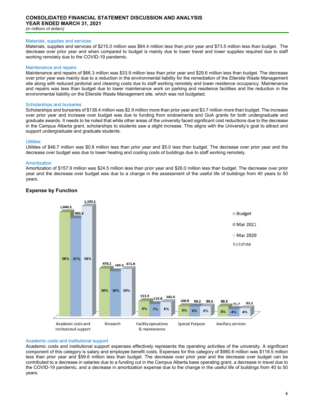#### Materials, supplies and services

Materials, supplies and services of \$215.0 million was \$64.4 million less than prior year and \$73.5 million less than budget. The decrease over prior year and when compared to budget is mainly due to lower travel and lower supplies required due to staff working remotely due to the COVID-19 pandemic.

#### Maintenance and repairs

Maintenance and repairs of \$66.3 million was \$33.9 million less than prior year and \$29.6 million less than budget. The decrease over prior year was mainly due to a reduction in the environmental liability for the remediation of the Ellerslie Waste Management site along with reduced janitorial and cleaning costs due to staff working remotely and lower residence occupancy. Maintenance and repairs was less than budget due to lower maintenance work on parking and residence facilities and the reduction in the environmental liability on the Ellerslie Waste Management site, which was not budgeted.

#### Scholarships and bursaries

Scholarships and bursaries of \$138.4 million was \$2.9 million more than prior year and \$3.7 million more than budget. The increase over prior year and increase over budget was due to funding from endowments and GoA grants for both undergraduate and graduate awards. It needs to be noted that while other areas of the university faced significant cost reductions due to the decrease in the Campus Alberta grant, scholarships to students saw a slight increase. This aligns with the University's goal to attract and support undergraduate and graduate students.

#### **Utilities**

Utilities of \$46.7 million was \$0.8 million less than prior year and \$5.0 less than budget. The decrease over prior year and the decrease over budget was due to lower heating and cooling costs of buildings due to staff working remotely.

#### **Amortization**

Amortization of \$157.9 million was \$24.5 million less than prior year and \$26.0 million less than budget. The decrease over prior year and the decrease over budget was due to a change in the assessment of the useful life of buildings from 40 years to 50 years.



## **Expense by Function**

# Academic costs and institutional support

Academic costs and institutional support expenses effectively represents the operating activities of the university. A significant component of this category is salary and employee benefit costs. Expenses for this category of \$980.6 million was \$119.5 million less than prior year and \$59.6 million less than budget. The decrease over prior year and the decrease over budget can be contributed to a decrease in salaries due to a funding cut in the Campus Alberta base operating grant, a decrease in travel due to the COVID-19 pandemic, and a decrease in amortization expense due to the change in the useful life of buildings from 40 to 50 years.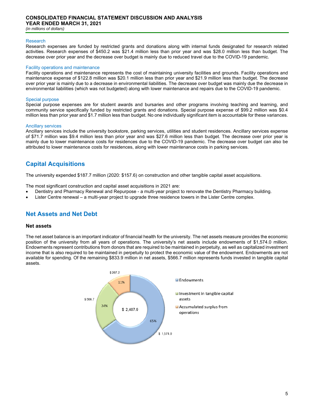# **CONSOLIDATED FINANCIAL STATEMENT DISCUSSION AND ANALYSIS YEAR ENDED MARCH 31, 2021**

*(in millions of dollars)* 

#### Research

Research expenses are funded by restricted grants and donations along with internal funds designated for research related activities. Research expenses of \$450.2 was \$21.4 million less than prior year and was \$28.0 million less than budget. The decrease over prior year and the decrease over budget is mainly due to reduced travel due to the COVID-19 pandemic.

#### Facility operations and maintenance

Facility operations and maintenance represents the cost of maintaining university facilities and grounds. Facility operations and maintenance expense of \$122.8 million was \$20.1 million less than prior year and \$21.9 million less than budget. The decrease over prior year is mainly due to a decrease in environmental liabilities. The decrease over budget was mainly due the decrease in environmental liabilities (which was not budgeted) along with lower maintenance and repairs due to the COVID-19 pandemic.

#### Special purpose

Special purpose expenses are for student awards and bursaries and other programs involving teaching and learning, and community service specifically funded by restricted grants and donations. Special purpose expense of \$99.2 million was \$0.4 million less than prior year and \$1.7 million less than budget. No one individually significant item is accountable for these variances.

#### Ancillary services

Ancillary services include the university bookstore, parking services, utilities and student residences. Ancillary services expense of \$71.7 million was \$9.4 million less than prior year and was \$27.6 million less than budget. The decrease over prior year is mainly due to lower maintenance costs for residences due to the COVID-19 pandemic. The decrease over budget can also be attributed to lower maintenance costs for residences, along with lower maintenance costs in parking services.

# **Capital Acquisitions**

The university expended \$187.7 million (2020: \$157.6) on construction and other tangible capital asset acquisitions.

The most significant construction and capital asset acquisitions in 2021 are:

- Dentistry and Pharmacy Renewal and Repurpose a multi-year project to renovate the Dentistry Pharmacy building.
- Lister Centre renewal a multi-year project to upgrade three residence towers in the Lister Centre complex.

# **Net Assets and Net Debt**

## **Net assets**

The net asset balance is an important indicator of financial health for the university. The net assets measure provides the economic position of the university from all years of operations. The university's net assets include endowments of \$1,574.0 million. Endowments represent contributions from donors that are required to be maintained in perpetuity, as well as capitalized investment income that is also required to be maintained in perpetuity to protect the economic value of the endowment. Endowments are not available for spending. Of the remaining \$833.9 million in net assets, \$566.7 million represents funds invested in tangible capital assets.

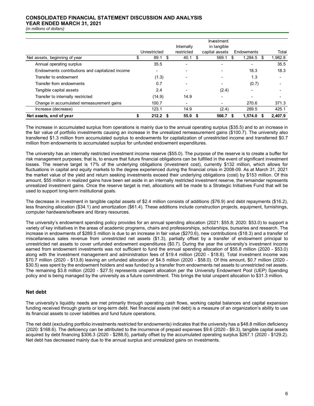# **CONSOLIDATED FINANCIAL STATEMENT DISCUSSION AND ANALYSIS**

**YEAR ENDED MARCH 31, 2021**

*(in millions of dollars)* 

|                                                 |                          |      | Internally        | Investment<br>in tangible |                          |   |                          |
|-------------------------------------------------|--------------------------|------|-------------------|---------------------------|--------------------------|---|--------------------------|
|                                                 | Unrestricted             |      | restricted        | capital assets            | Endowments               |   | Total                    |
| Net assets, beginning of year                   | 89.1                     |      | 40.1              | 569.1                     | 1,284.5                  | S | 1,982.8                  |
| Annual operating surplus                        | 35.5                     |      |                   |                           | $\overline{\phantom{0}}$ |   | 35.5                     |
| Endowments contributions and capitalized income | $\overline{\phantom{0}}$ |      |                   |                           | 18.3                     |   | 18.3                     |
| Transfer to endowment                           | (1.3)                    |      |                   |                           | 1.3                      |   | $\overline{\phantom{0}}$ |
| Transfer from endowments                        | 0.7                      |      |                   |                           | (0.7)                    |   |                          |
| Tangible capital assets                         | 2.4                      |      |                   | (2.4)                     | $\overline{\phantom{0}}$ |   | $\overline{\phantom{0}}$ |
| Transfer to internally restricted               | (14.9)                   |      | 14.9              |                           | $\overline{\phantom{0}}$ |   | $\overline{\phantom{0}}$ |
| Change in accumulated remeasurement gains       | 100.7                    |      |                   |                           | 270.6                    |   | 371.3                    |
| Increase (decrease)                             | 123.1                    |      | 14.9              | (2.4)                     | 289.5                    |   | 425.1                    |
| Net assets, end of year                         | 212.2                    | - \$ | 55.0 <sup>5</sup> | 566.7                     | 1.574.0                  |   | 2.407.9                  |

The increase in accumulated surplus from operations is mainly due to the annual operating surplus (\$35.5) and to an increase in the fair value of portfolio investments causing an increase in the unrealized remeasurement gains (\$100.7). The university also transferred \$1.3 million from accumulated surplus to endowments for capitalization of unrestricted income and transferred \$0.7 million from endowments to accumulated surplus for unfunded endowment expenditures.

The university has an internally restricted investment income reserve (\$55.0). The purpose of the reserve is to create a buffer for risk management purposes; that is, to ensure that future financial obligations can be fulfilled in the event of significant investment losses. The reserve target is 17% of the underlying obligations (investment cost), currently \$132 million, which allows for fluctuations in capital and equity markets to the degree experienced during the financial crisis in 2008-09. As at March 31, 2021 the market value of the yield and return seeking investments exceed their underlying obligations (cost) by \$153 million. Of this amount, \$55 million in realized gains have been set aside in an internally restricted investment reserve, the remainder represents unrealized investment gains. Once the reserve target is met, allocations will be made to a Strategic Initiatives Fund that will be used to support long-term institutional goals.

The decrease in investment in tangible capital assets of \$2.4 million consists of additions (\$76.9) and debt repayments (\$16.2), less financing allocation (\$34.1) and amortization (\$61.4). These additions include construction projects, equipment, furnishings, computer hardware/software and library resources.

The university's endowment spending policy provides for an annual spending allocation (2021: \$55.8; 2020: \$53.0) to support a variety of key initiatives in the areas of academic programs, chairs and professorships, scholarships, bursaries and research. The increase in endowments of \$289.5 million is due to an increase in fair value (\$270.6), new contributions (\$18.3) and a transfer of miscellaneous sales revenue from unrestricted net assets (\$1.3), partially offset by a transfer of endowment principal to unrestricted net assets to cover unfunded endowment expenditures (\$0.7). During the year the university's investment income earned from endowment investments was not sufficient to fund the annual spending allocation of \$55.8 million (2020 - \$53.0) along with the investment management and administration fees of \$19.4 million (2020 - \$18.8). Total investment income was \$70.7 million (2020 - \$13.8) leaving an unfunded allocation of \$4.5 million (2020 - \$58.0). Of this amount, \$0.7 million (2020 - \$30.5) was spent by the endowment holders and was funded by a transfer from endowments net assets to unrestricted net assets. The remaining \$3.8 million (2020 - \$27.5) represents unspent allocation per the University Endowment Pool (UEP) Spending policy and is being managed by the university as a future commitment. This brings the total unspent allocation to \$31.3 million.

# **Net debt**

The university's liquidity needs are met primarily through operating cash flows, working capital balances and capital expansion funding received through grants or long-term debt. Net financial assets (net debt) is a measure of an organization's ability to use its financial assets to cover liabilities and fund future operations.

The net debt (excluding portfolio investments restricted for endowments) indicates that the university has a \$48.8 million deficiency (2020: \$168.6). The deficiency can be attributed to the incurrence of prepaid expenses \$9.6 (2020 - \$9.3), tangible capital assets acquired by debt financing \$306.3 (2020 - \$288.5), partially offset by the accumulated operating surplus \$267.1 (2020 - \$129.2). Net debt has decreased mainly due to the annual surplus and unrealized gains on investments.